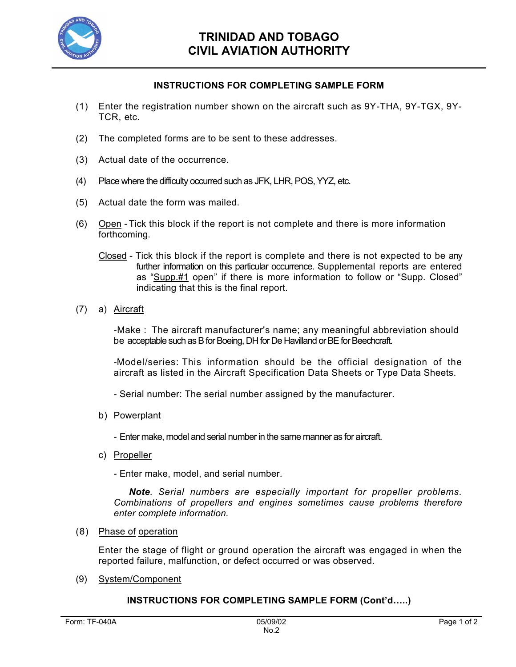

## **INSTRUCTIONS FOR COMPLETING SAMPLE FORM**

- (1) Enter the registration number shown on the aircraft such as 9Y-THA, 9Y-TGX, 9Y-TCR, etc.
- (2) The completed forms are to be sent to these addresses.
- (3) Actual date of the occurrence.
- (4) Place where the difficulty occurred such as JFK, LHR, POS, YYZ, etc.
- (5) Actual date the form was mailed.
- (6) Open Tick this block if the report is not complete and there is more information forthcoming.
	- Closed Tick this block if the report is complete and there is not expected to be any further information on this particular occurrence. Supplemental reports are entered as "Supp.#1 open" if there is more information to follow or "Supp. Closed" indicating that this is the final report.
- (7) a) Aircraft

-Make : The aircraft manufacturer's name; any meaningful abbreviation should be acceptable such as B for Boeing, DH for De Havilland or BE for Beechcraft.

-Model/series: This information should be the official designation of the aircraft as listed in the Aircraft Specification Data Sheets or Type Data Sheets.

- Serial number: The serial number assigned by the manufacturer.
- b) Powerplant

- Enter make, model and serial number in the same manner as for aircraft.

c) Propeller

- Enter make, model, and serial number.

*Note. Serial numbers are especially important for propeller problems. Combinations of propellers and engines sometimes cause problems therefore enter complete information.* 

(8) Phase of operation

Enter the stage of flight or ground operation the aircraft was engaged in when the reported failure, malfunction, or defect occurred or was observed.

(9) System/Component

## **INSTRUCTIONS FOR COMPLETING SAMPLE FORM (Cont'd…..)**